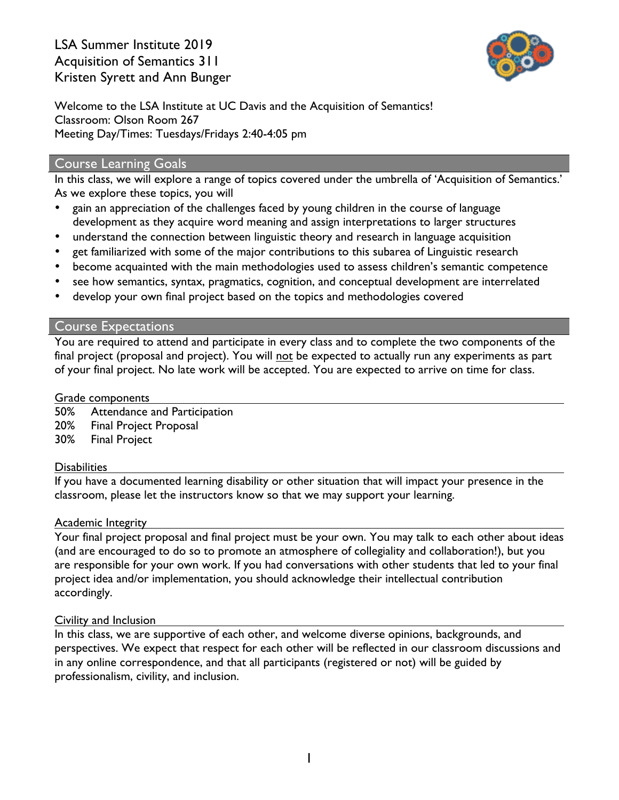

Welcome to the LSA Institute at UC Davis and the Acquisition of Semantics! Classroom: Olson Room 267 Meeting Day/Times: Tuesdays/Fridays 2:40-4:05 pm

#### Course Learning Goals

In this class, we will explore a range of topics covered under the umbrella of 'Acquisition of Semantics.' As we explore these topics, you will

- gain an appreciation of the challenges faced by young children in the course of language development as they acquire word meaning and assign interpretations to larger structures
- understand the connection between linguistic theory and research in language acquisition
- get familiarized with some of the major contributions to this subarea of Linguistic research
- become acquainted with the main methodologies used to assess children's semantic competence
- see how semantics, syntax, pragmatics, cognition, and conceptual development are interrelated
- develop your own final project based on the topics and methodologies covered

#### Course Expectations

You are required to attend and participate in every class and to complete the two components of the final project (proposal and project). You will not be expected to actually run any experiments as part of your final project. No late work will be accepted. You are expected to arrive on time for class.

#### Grade components

50% Attendance and Participation 20% Final Project Proposal 30% Final Project

#### **Disabilities**

If you have a documented learning disability or other situation that will impact your presence in the classroom, please let the instructors know so that we may support your learning.

#### Academic Integrity

Your final project proposal and final project must be your own. You may talk to each other about ideas (and are encouraged to do so to promote an atmosphere of collegiality and collaboration!), but you are responsible for your own work. If you had conversations with other students that led to your final project idea and/or implementation, you should acknowledge their intellectual contribution accordingly.

#### Civility and Inclusion

In this class, we are supportive of each other, and welcome diverse opinions, backgrounds, and perspectives. We expect that respect for each other will be reflected in our classroom discussions and in any online correspondence, and that all participants (registered or not) will be guided by professionalism, civility, and inclusion.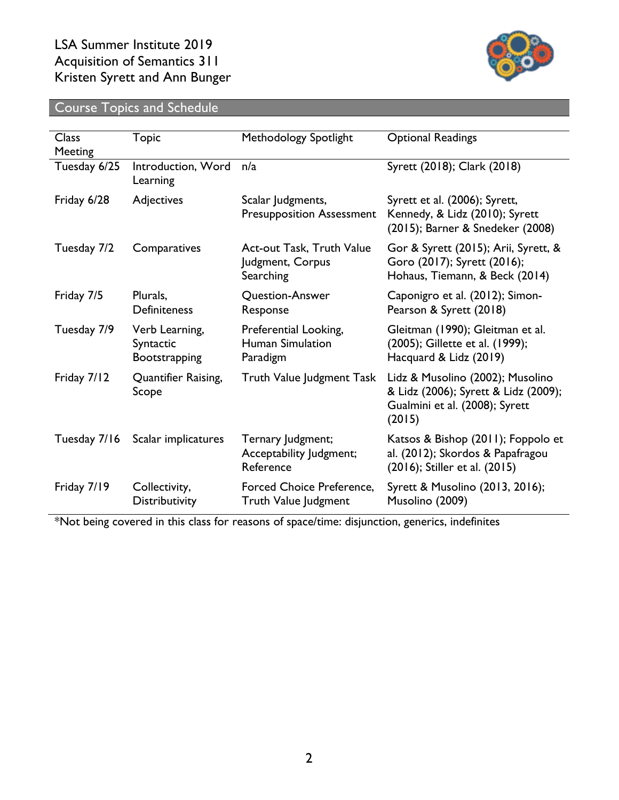

# Course Topics and Schedule

| <b>Class</b><br>Meeting | <b>Topic</b>                                 | Methodology Spotlight                                      | <b>Optional Readings</b>                                                                                             |
|-------------------------|----------------------------------------------|------------------------------------------------------------|----------------------------------------------------------------------------------------------------------------------|
| Tuesday 6/25            | Introduction, Word<br>Learning               | n/a                                                        | Syrett (2018); Clark (2018)                                                                                          |
| Friday 6/28             | Adjectives                                   | Scalar Judgments,<br><b>Presupposition Assessment</b>      | Syrett et al. (2006); Syrett,<br>Kennedy, & Lidz (2010); Syrett<br>(2015); Barner & Snedeker (2008)                  |
| Tuesday 7/2             | Comparatives                                 | Act-out Task, Truth Value<br>Judgment, Corpus<br>Searching | Gor & Syrett (2015); Arii, Syrett, &<br>Goro (2017); Syrett (2016);<br>Hohaus, Tiemann, & Beck (2014)                |
| Friday 7/5              | Plurals,<br>Definiteness                     | Question-Answer<br>Response                                | Caponigro et al. (2012); Simon-<br>Pearson & Syrett (2018)                                                           |
| Tuesday 7/9             | Verb Learning,<br>Syntactic<br>Bootstrapping | Preferential Looking,<br>Human Simulation<br>Paradigm      | Gleitman (1990); Gleitman et al.<br>(2005); Gillette et al. (1999);<br>Hacquard & Lidz (2019)                        |
| Friday 7/12             | Quantifier Raising,<br>Scope                 | Truth Value Judgment Task                                  | Lidz & Musolino (2002); Musolino<br>& Lidz (2006); Syrett & Lidz (2009);<br>Gualmini et al. (2008); Syrett<br>(2015) |
| Tuesday 7/16            | Scalar implicatures                          | Ternary Judgment;<br>Acceptability Judgment;<br>Reference  | Katsos & Bishop (2011); Foppolo et<br>al. (2012); Skordos & Papafragou<br>(2016); Stiller et al. (2015)              |
| Friday 7/19             | Collectivity,<br>Distributivity              | <b>Forced Choice Preference,</b><br>Truth Value Judgment   | Syrett & Musolino (2013, 2016);<br>Musolino (2009)                                                                   |

\*Not being covered in this class for reasons of space/time: disjunction, generics, indefinites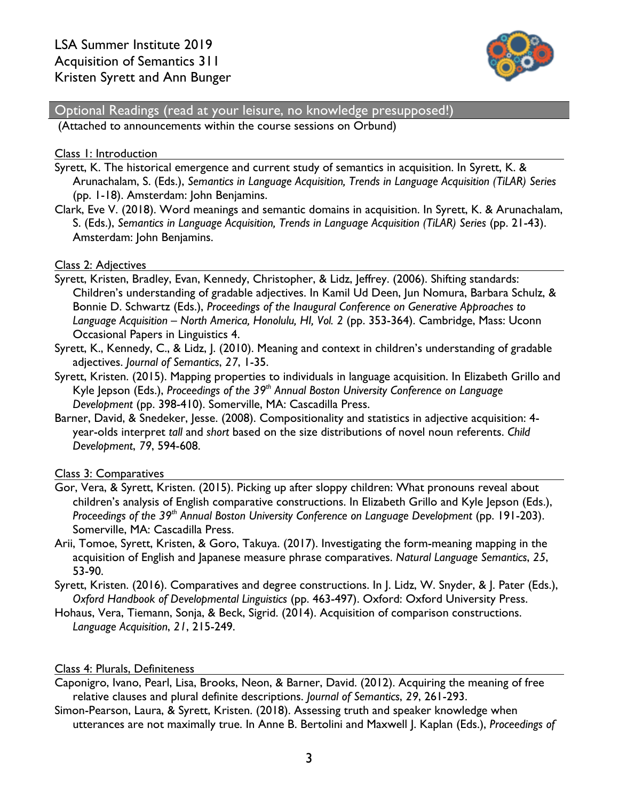

Optional Readings (read at your leisure, no knowledge presupposed!)

(Attached to announcements within the course sessions on Orbund)

#### Class 1: Introduction

- Syrett, K. The historical emergence and current study of semantics in acquisition. In Syrett, K. & Arunachalam, S. (Eds.), *Semantics in Language Acquisition, Trends in Language Acquisition (TiLAR) Series* (pp. 1-18). Amsterdam: John Benjamins.
- Clark, Eve V. (2018). Word meanings and semantic domains in acquisition. In Syrett, K. & Arunachalam, S. (Eds.), *Semantics in Language Acquisition, Trends in Language Acquisition (TiLAR) Series* (pp. 21-43). Amsterdam: John Benjamins.

#### Class 2: Adjectives

- Syrett, Kristen, Bradley, Evan, Kennedy, Christopher, & Lidz, Jeffrey. (2006). Shifting standards: Children's understanding of gradable adjectives. In Kamil Ud Deen, Jun Nomura, Barbara Schulz, & Bonnie D. Schwartz (Eds.), *Proceedings of the Inaugural Conference on Generative Approaches to Language Acquisition – North America, Honolulu, HI, Vol. 2* (pp. 353-364). Cambridge, Mass: Uconn Occasional Papers in Linguistics 4.
- Syrett, K., Kennedy, C., & Lidz, J. (2010). Meaning and context in children's understanding of gradable adjectives. *Journal of Semantics*, *27*, 1-35.
- Syrett, Kristen. (2015). Mapping properties to individuals in language acquisition. In Elizabeth Grillo and Kyle Jepson (Eds.), *Proceedings of the 39th Annual Boston University Conference on Language Development* (pp. 398-410). Somerville, MA: Cascadilla Press.
- Barner, David, & Snedeker, Jesse. (2008). Compositionality and statistics in adjective acquisition: 4 year-olds interpret *tall* and *short* based on the size distributions of novel noun referents. *Child Development*, *79*, 594-608.

Class 3: Comparatives

- Gor, Vera, & Syrett, Kristen. (2015). Picking up after sloppy children: What pronouns reveal about children's analysis of English comparative constructions. In Elizabeth Grillo and Kyle Jepson (Eds.), *Proceedings of the 39th Annual Boston University Conference on Language Development* (pp. 191-203). Somerville, MA: Cascadilla Press.
- Arii, Tomoe, Syrett, Kristen, & Goro, Takuya. (2017). Investigating the form-meaning mapping in the acquisition of English and Japanese measure phrase comparatives. *Natural Language Semantics*, *25*, 53-90.
- Syrett, Kristen. (2016). Comparatives and degree constructions. In J. Lidz, W. Snyder, & J. Pater (Eds.), *Oxford Handbook of Developmental Linguistics* (pp. 463-497). Oxford: Oxford University Press.
- Hohaus, Vera, Tiemann, Sonja, & Beck, Sigrid. (2014). Acquisition of comparison constructions. *Language Acquisition*, *21*, 215-249.

#### Class 4: Plurals, Definiteness

- Caponigro, Ivano, Pearl, Lisa, Brooks, Neon, & Barner, David. (2012). Acquiring the meaning of free relative clauses and plural definite descriptions. *Journal of Semantics*, *29*, 261-293.
- Simon-Pearson, Laura, & Syrett, Kristen. (2018). Assessing truth and speaker knowledge when utterances are not maximally true. In Anne B. Bertolini and Maxwell J. Kaplan (Eds.), *Proceedings of*